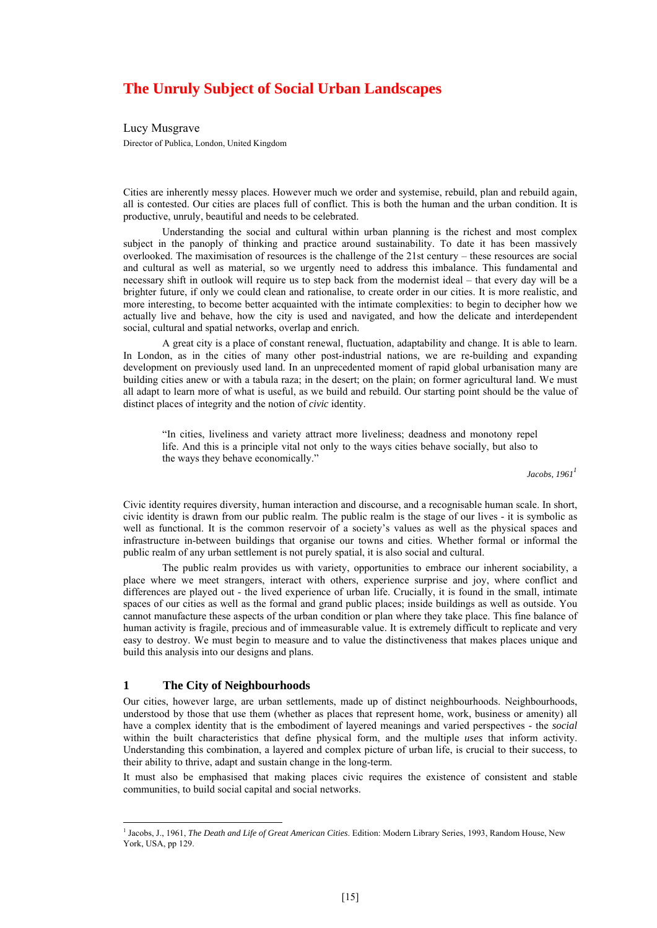# **The Unruly Subject of Social Urban Landscapes**

Lucy Musgrave Director of Publica, London, United Kingdom

Cities are inherently messy places. However much we order and systemise, rebuild, plan and rebuild again, all is contested. Our cities are places full of conflict. This is both the human and the urban condition. It is productive, unruly, beautiful and needs to be celebrated.

Understanding the social and cultural within urban planning is the richest and most complex subject in the panoply of thinking and practice around sustainability. To date it has been massively overlooked. The maximisation of resources is the challenge of the 21st century – these resources are social and cultural as well as material, so we urgently need to address this imbalance. This fundamental and necessary shift in outlook will require us to step back from the modernist ideal – that every day will be a brighter future, if only we could clean and rationalise, to create order in our cities. It is more realistic, and more interesting, to become better acquainted with the intimate complexities: to begin to decipher how we actually live and behave, how the city is used and navigated, and how the delicate and interdependent social, cultural and spatial networks, overlap and enrich.

A great city is a place of constant renewal, fluctuation, adaptability and change. It is able to learn. In London, as in the cities of many other post-industrial nations, we are re-building and expanding development on previously used land. In an unprecedented moment of rapid global urbanisation many are building cities anew or with a tabula raza; in the desert; on the plain; on former agricultural land. We must all adapt to learn more of what is useful, as we build and rebuild. Our starting point should be the value of distinct places of integrity and the notion of *civic* identity.

"In cities, liveliness and variety attract more liveliness; deadness and monotony repel life. And this is a principle vital not only to the ways cities behave socially, but also to the ways they behave economically."

*Jacobs,* 1961<sup>1</sup>

Civic identity requires diversity, human interaction and discourse, and a recognisable human scale. In short, civic identity is drawn from our public realm. The public realm is the stage of our lives - it is symbolic as well as functional. It is the common reservoir of a society's values as well as the physical spaces and infrastructure in-between buildings that organise our towns and cities. Whether formal or informal the public realm of any urban settlement is not purely spatial, it is also social and cultural.

The public realm provides us with variety, opportunities to embrace our inherent sociability, a place where we meet strangers, interact with others, experience surprise and joy, where conflict and differences are played out - the lived experience of urban life. Crucially, it is found in the small, intimate spaces of our cities as well as the formal and grand public places; inside buildings as well as outside. You cannot manufacture these aspects of the urban condition or plan where they take place. This fine balance of human activity is fragile, precious and of immeasurable value. It is extremely difficult to replicate and very easy to destroy. We must begin to measure and to value the distinctiveness that makes places unique and build this analysis into our designs and plans.

#### **1 The City of Neighbourhoods**

Our cities, however large, are urban settlements, made up of distinct neighbourhoods. Neighbourhoods, understood by those that use them (whether as places that represent home, work, business or amenity) all have a complex identity that is the embodiment of layered meanings and varied perspectives - the *social*  within the built characteristics that define physical form, and the multiple *uses* that inform activity. Understanding this combination, a layered and complex picture of urban life, is crucial to their success, to their ability to thrive, adapt and sustain change in the long-term.

It must also be emphasised that making places civic requires the existence of consistent and stable communities, to build social capital and social networks.

 1 Jacobs, J., 1961, *The Death and Life of Great American Cities*. Edition: Modern Library Series, 1993, Random House, New York, USA, pp 129.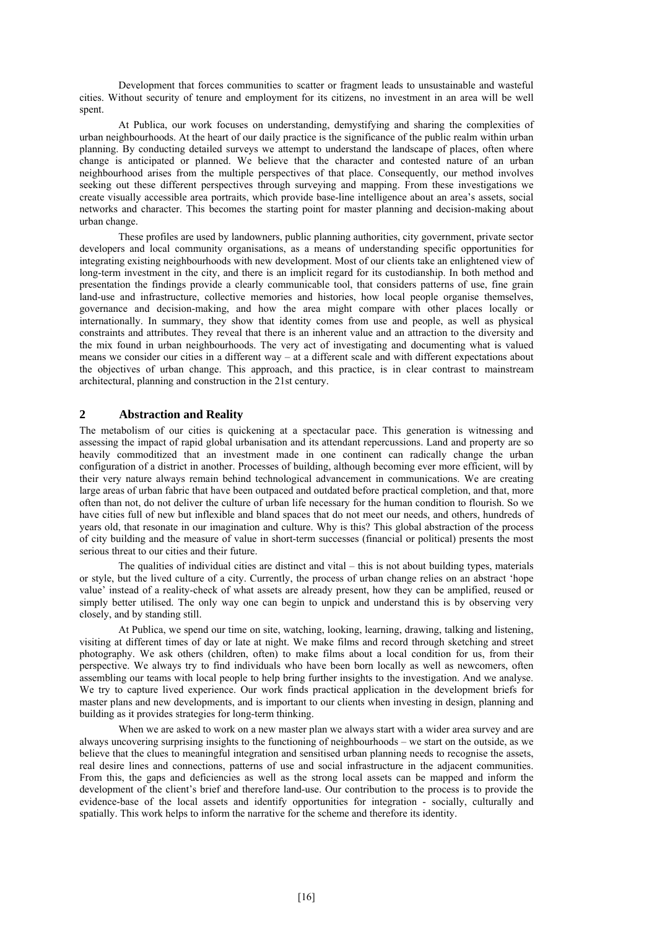Development that forces communities to scatter or fragment leads to unsustainable and wasteful cities. Without security of tenure and employment for its citizens, no investment in an area will be well spent.

At Publica, our work focuses on understanding, demystifying and sharing the complexities of urban neighbourhoods. At the heart of our daily practice is the significance of the public realm within urban planning. By conducting detailed surveys we attempt to understand the landscape of places, often where change is anticipated or planned. We believe that the character and contested nature of an urban neighbourhood arises from the multiple perspectives of that place. Consequently, our method involves seeking out these different perspectives through surveying and mapping. From these investigations we create visually accessible area portraits, which provide base-line intelligence about an area's assets, social networks and character. This becomes the starting point for master planning and decision-making about urban change.

These profiles are used by landowners, public planning authorities, city government, private sector developers and local community organisations, as a means of understanding specific opportunities for integrating existing neighbourhoods with new development. Most of our clients take an enlightened view of long-term investment in the city, and there is an implicit regard for its custodianship. In both method and presentation the findings provide a clearly communicable tool, that considers patterns of use, fine grain land-use and infrastructure, collective memories and histories, how local people organise themselves, governance and decision-making, and how the area might compare with other places locally or internationally. In summary, they show that identity comes from use and people, as well as physical constraints and attributes. They reveal that there is an inherent value and an attraction to the diversity and the mix found in urban neighbourhoods. The very act of investigating and documenting what is valued means we consider our cities in a different way – at a different scale and with different expectations about the objectives of urban change. This approach, and this practice, is in clear contrast to mainstream architectural, planning and construction in the 21st century.

#### **2 Abstraction and Reality**

The metabolism of our cities is quickening at a spectacular pace. This generation is witnessing and assessing the impact of rapid global urbanisation and its attendant repercussions. Land and property are so heavily commoditized that an investment made in one continent can radically change the urban configuration of a district in another. Processes of building, although becoming ever more efficient, will by their very nature always remain behind technological advancement in communications. We are creating large areas of urban fabric that have been outpaced and outdated before practical completion, and that, more often than not, do not deliver the culture of urban life necessary for the human condition to flourish. So we have cities full of new but inflexible and bland spaces that do not meet our needs, and others, hundreds of years old, that resonate in our imagination and culture. Why is this? This global abstraction of the process of city building and the measure of value in short-term successes (financial or political) presents the most serious threat to our cities and their future.

The qualities of individual cities are distinct and vital – this is not about building types, materials or style, but the lived culture of a city. Currently, the process of urban change relies on an abstract 'hope value' instead of a reality-check of what assets are already present, how they can be amplified, reused or simply better utilised. The only way one can begin to unpick and understand this is by observing very closely, and by standing still.

At Publica, we spend our time on site, watching, looking, learning, drawing, talking and listening, visiting at different times of day or late at night. We make films and record through sketching and street photography. We ask others (children, often) to make films about a local condition for us, from their perspective. We always try to find individuals who have been born locally as well as newcomers, often assembling our teams with local people to help bring further insights to the investigation. And we analyse. We try to capture lived experience. Our work finds practical application in the development briefs for master plans and new developments, and is important to our clients when investing in design, planning and building as it provides strategies for long-term thinking.

When we are asked to work on a new master plan we always start with a wider area survey and are always uncovering surprising insights to the functioning of neighbourhoods – we start on the outside, as we believe that the clues to meaningful integration and sensitised urban planning needs to recognise the assets, real desire lines and connections, patterns of use and social infrastructure in the adjacent communities. From this, the gaps and deficiencies as well as the strong local assets can be mapped and inform the development of the client's brief and therefore land-use. Our contribution to the process is to provide the evidence-base of the local assets and identify opportunities for integration - socially, culturally and spatially. This work helps to inform the narrative for the scheme and therefore its identity.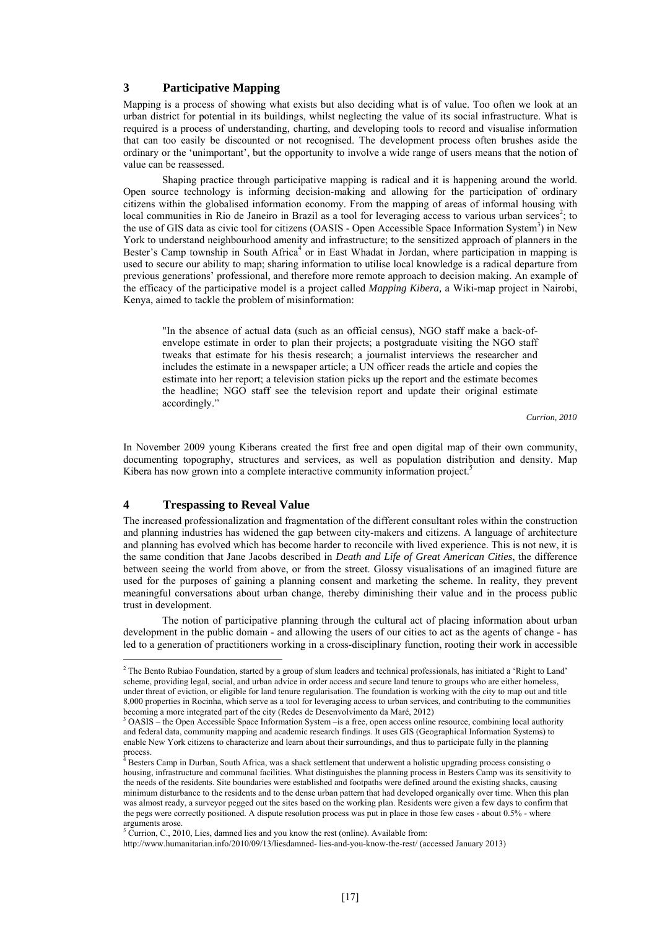### **3 Participative Mapping**

Mapping is a process of showing what exists but also deciding what is of value. Too often we look at an urban district for potential in its buildings, whilst neglecting the value of its social infrastructure. What is required is a process of understanding, charting, and developing tools to record and visualise information that can too easily be discounted or not recognised. The development process often brushes aside the ordinary or the 'unimportant', but the opportunity to involve a wide range of users means that the notion of value can be reassessed.

Shaping practice through participative mapping is radical and it is happening around the world. Open source technology is informing decision-making and allowing for the participation of ordinary citizens within the globalised information economy. From the mapping of areas of informal housing with local communities in Rio de Janeiro in Brazil as a tool for leveraging access to various urban services<sup>2</sup>; to the use of GIS data as civic tool for citizens (OASIS - Open Accessible Space Information System<sup>3</sup>) in New York to understand neighbourhood amenity and infrastructure; to the sensitized approach of planners in the Bester's Camp township in South Africa<sup>4</sup> or in East Whadat in Jordan, where participation in mapping is used to secure our ability to map; sharing information to utilise local knowledge is a radical departure from previous generations' professional, and therefore more remote approach to decision making. An example of the efficacy of the participative model is a project called *Mapping Kibera,* a Wiki-map project in Nairobi, Kenya, aimed to tackle the problem of misinformation:

"In the absence of actual data (such as an official census), NGO staff make a back-ofenvelope estimate in order to plan their projects; a postgraduate visiting the NGO staff tweaks that estimate for his thesis research; a journalist interviews the researcher and includes the estimate in a newspaper article; a UN officer reads the article and copies the estimate into her report; a television station picks up the report and the estimate becomes the headline; NGO staff see the television report and update their original estimate accordingly."

*Currion, 2010* 

In November 2009 young Kiberans created the first free and open digital map of their own community, documenting topography, structures and services, as well as population distribution and density. Map Kibera has now grown into a complete interactive community information project.<sup>5</sup>

## **4 Trespassing to Reveal Value**

The increased professionalization and fragmentation of the different consultant roles within the construction and planning industries has widened the gap between city-makers and citizens. A language of architecture and planning has evolved which has become harder to reconcile with lived experience. This is not new, it is the same condition that Jane Jacobs described in *Death and Life of Great American Cities*, the difference between seeing the world from above, or from the street. Glossy visualisations of an imagined future are used for the purposes of gaining a planning consent and marketing the scheme. In reality, they prevent meaningful conversations about urban change, thereby diminishing their value and in the process public trust in development.

The notion of participative planning through the cultural act of placing information about urban development in the public domain - and allowing the users of our cities to act as the agents of change - has led to a generation of practitioners working in a cross-disciplinary function, rooting their work in accessible

 2 The Bento Rubiao Foundation, started by a group of slum leaders and technical professionals, has initiated a 'Right to Land' scheme, providing legal, social, and urban advice in order access and secure land tenure to groups who are either homeless, under threat of eviction, or eligible for land tenure regularisation. The foundation is working with the city to map out and title 8,000 properties in Rocinha, which serve as a tool for leveraging access to urban services, and contributing to the communities becoming a more integrated part of the city (Redes de Desenvolvimento da Maré, 2012)

<sup>&</sup>lt;sup>3</sup> OASIS – the Open Accessible Space Information System –is a free, open access online resource, combining local authority and federal data, community mapping and academic research findings. It uses GIS (Geographical Information Systems) to enable New York citizens to characterize and learn about their surroundings, and thus to participate fully in the planning process.

Besters Camp in Durban, South Africa, was a shack settlement that underwent a holistic upgrading process consisting o housing, infrastructure and communal facilities. What distinguishes the planning process in Besters Camp was its sensitivity to the needs of the residents. Site boundaries were established and footpaths were defined around the existing shacks, causing minimum disturbance to the residents and to the dense urban pattern that had developed organically over time. When this plan was almost ready, a surveyor pegged out the sites based on the working plan. Residents were given a few days to confirm that the pegs were correctly positioned. A dispute resolution process was put in place in those few cases - about 0.5% - where arguments arose.<br><sup>5</sup> Currion, C., 2010, Lies, damned lies and you know the rest (online). Available from:

http://www.humanitarian.info/2010/09/13/liesdamned- lies-and-you-know-the-rest/ (accessed January 2013)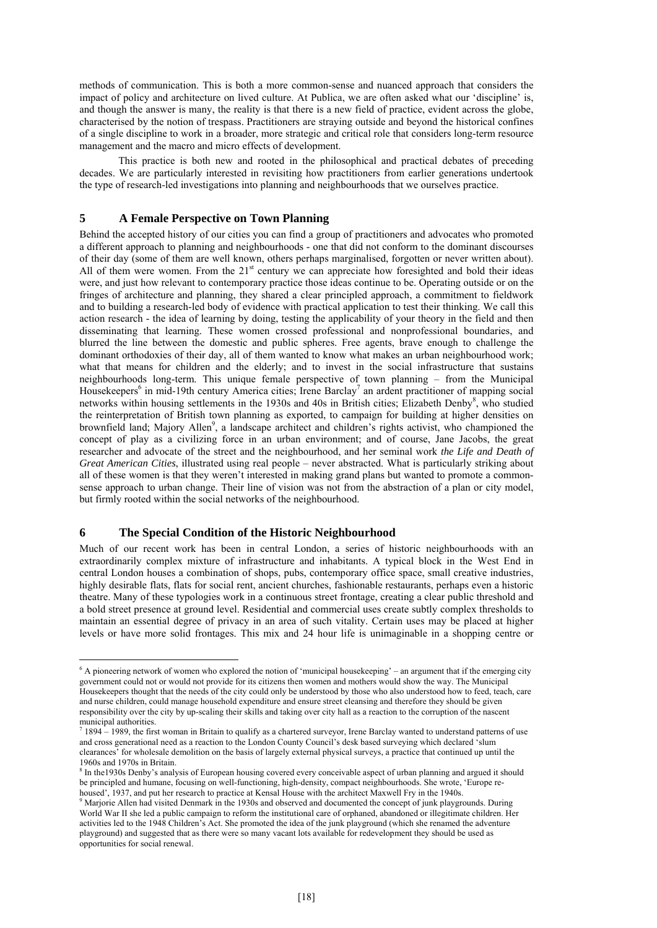methods of communication. This is both a more common-sense and nuanced approach that considers the impact of policy and architecture on lived culture. At Publica, we are often asked what our 'discipline' is, and though the answer is many, the reality is that there is a new field of practice, evident across the globe, characterised by the notion of trespass. Practitioners are straying outside and beyond the historical confines of a single discipline to work in a broader, more strategic and critical role that considers long-term resource management and the macro and micro effects of development.

This practice is both new and rooted in the philosophical and practical debates of preceding decades. We are particularly interested in revisiting how practitioners from earlier generations undertook the type of research-led investigations into planning and neighbourhoods that we ourselves practice.

#### **5 A Female Perspective on Town Planning**

Behind the accepted history of our cities you can find a group of practitioners and advocates who promoted a different approach to planning and neighbourhoods - one that did not conform to the dominant discourses of their day (some of them are well known, others perhaps marginalised, forgotten or never written about). All of them were women. From the 21<sup>st</sup> century we can appreciate how foresighted and bold their ideas were, and just how relevant to contemporary practice those ideas continue to be. Operating outside or on the fringes of architecture and planning, they shared a clear principled approach, a commitment to fieldwork and to building a research-led body of evidence with practical application to test their thinking. We call this action research - the idea of learning by doing, testing the applicability of your theory in the field and then disseminating that learning. These women crossed professional and nonprofessional boundaries, and blurred the line between the domestic and public spheres. Free agents, brave enough to challenge the dominant orthodoxies of their day, all of them wanted to know what makes an urban neighbourhood work; what that means for children and the elderly; and to invest in the social infrastructure that sustains neighbourhoods long-term. This unique female perspective of town planning – from the Municipal Housekeepers<sup>6</sup> in mid-19th century America cities; Irene Barclay<sup>7</sup> an ardent practitioner of mapping social networks within housing settlements in the 1930s and 40s in British cities; Elizabeth Denby<sup>8</sup>, who studied the reinterpretation of British town planning as exported, to campaign for building at higher densities on brownfield land; Majory Allen<sup>9</sup>, a landscape architect and children's rights activist, who championed the concept of play as a civilizing force in an urban environment; and of course, Jane Jacobs, the great researcher and advocate of the street and the neighbourhood, and her seminal work *the Life and Death of Great American Cities*, illustrated using real people – never abstracted. What is particularly striking about all of these women is that they weren't interested in making grand plans but wanted to promote a commonsense approach to urban change. Their line of vision was not from the abstraction of a plan or city model, but firmly rooted within the social networks of the neighbourhood.

#### **6 The Special Condition of the Historic Neighbourhood**

Much of our recent work has been in central London, a series of historic neighbourhoods with an extraordinarily complex mixture of infrastructure and inhabitants. A typical block in the West End in central London houses a combination of shops, pubs, contemporary office space, small creative industries, highly desirable flats, flats for social rent, ancient churches, fashionable restaurants, perhaps even a historic theatre. Many of these typologies work in a continuous street frontage, creating a clear public threshold and a bold street presence at ground level. Residential and commercial uses create subtly complex thresholds to maintain an essential degree of privacy in an area of such vitality. Certain uses may be placed at higher levels or have more solid frontages. This mix and 24 hour life is unimaginable in a shopping centre or

A pioneering network of women who explored the notion of 'municipal housekeeping' – an argument that if the emerging city government could not or would not provide for its citizens then women and mothers would show the way. The Municipal Housekeepers thought that the needs of the city could only be understood by those who also understood how to feed, teach, care and nurse children, could manage household expenditure and ensure street cleansing and therefore they should be given responsibility over the city by up-scaling their skills and taking over city hall as a reaction to the corruption of the nascent municipal authorities.

 $^7$  1894 – 1989, the first woman in Britain to qualify as a chartered surveyor, Irene Barclay wanted to understand patterns of use and cross generational need as a reaction to the London County Council's desk based surveying which declared 'slum clearances' for wholesale demolition on the basis of largely external physical surveys, a practice that continued up until the 1960s and 1970s in Britain.

<sup>&</sup>lt;sup>8</sup> In the1930s Denby's analysis of European housing covered every conceivable aspect of urban planning and argued it should be principled and humane, focusing on well-functioning, high-density, compact neighbourhoods. She wrote, 'Europe rehoused', 1937, and put her research to practice at Kensal House with the architect Maxwell Fry in the 1940s.

<sup>&</sup>lt;sup>9</sup> Marjorie Allen had visited Denmark in the 1930s and observed and documented the concept of junk playgrounds. During World War II she led a public campaign to reform the institutional care of orphaned, abandoned or illegitimate children. Her activities led to the 1948 Children's Act. She promoted the idea of the junk playground (which she renamed the adventure playground) and suggested that as there were so many vacant lots available for redevelopment they should be used as opportunities for social renewal.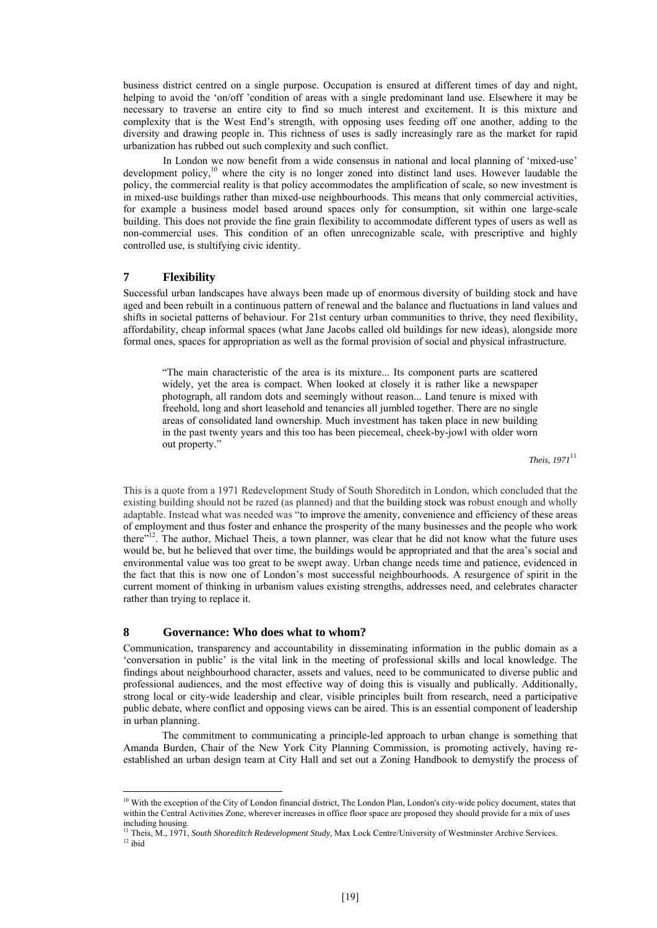business district centred on a single purpose. Occupation is ensured at different times of day and night, helping to avoid the 'on/off 'condition of areas with a single predominant land use. Elsewhere it may be necessary to traverse an entire city to find so much interest and excitement. It is this mixture and complexity that is the West End's strength, with opposing uses feeding off one another, adding to the diversity and drawing people in. This richness of uses is sadly increasingly rare as the market for rapid urbanization has rubbed out such complexity and such conflict.

In London we now benefit from a wide consensus in national and local planning of 'mixed-use' development policy,10 where the city is no longer zoned into distinct land uses. However laudable the policy, the commercial reality is that policy accommodates the amplification of scale, so new investment is in mixed-use buildings rather than mixed-use neighbourhoods. This means that only commercial activities, for example a business model based around spaces only for consumption, sit within one large-scale building. This does not provide the fine grain flexibility to accommodate different types of users as well as non-commercial uses. This condition of an often unrecognizable scale, with prescriptive and highly controlled use, is stultifying civic identity.

## **7 Flexibility**

<u>.</u>

Successful urban landscapes have always been made up of enormous diversity of building stock and have aged and been rebuilt in a continuous pattern of renewal and the balance and fluctuations in land values and shifts in societal patterns of behaviour. For 21st century urban communities to thrive, they need flexibility, affordability, cheap informal spaces (what Jane Jacobs called old buildings for new ideas), alongside more formal ones, spaces for appropriation as well as the formal provision of social and physical infrastructure.

"The main characteristic of the area is its mixture... Its component parts are scattered widely, yet the area is compact. When looked at closely it is rather like a newspaper photograph, all random dots and seemingly without reason... Land tenure is mixed with freehold, long and short leasehold and tenancies all jumbled together. There are no single areas of consolidated land ownership. Much investment has taken place in new building in the past twenty years and this too has been piecemeal, cheek-by-jowl with older worn out property."

*Theis, 1971*<sup>11</sup>

This is a quote from a 1971 Redevelopment Study of South Shoreditch in London, which concluded that the existing building should not be razed (as planned) and that the building stock was robust enough and wholly adaptable. Instead what was needed was "to improve the amenity, convenience and efficiency of these areas of employment and thus foster and enhance the prosperity of the many businesses and the people who work there"<sup>12</sup>. The author, Michael Theis, a town planner, was clear that he did not know what the future uses would be, but he believed that over time, the buildings would be appropriated and that the area's social and environmental value was too great to be swept away. Urban change needs time and patience, evidenced in the fact that this is now one of London's most successful neighbourhoods. A resurgence of spirit in the current moment of thinking in urbanism values existing strengths, addresses need, and celebrates character rather than trying to replace it.

## **8 Governance: Who does what to whom?**

Communication, transparency and accountability in disseminating information in the public domain as a 'conversation in public' is the vital link in the meeting of professional skills and local knowledge. The findings about neighbourhood character, assets and values, need to be communicated to diverse public and professional audiences, and the most effective way of doing this is visually and publically. Additionally, strong local or city-wide leadership and clear, visible principles built from research, need a participative public debate, where conflict and opposing views can be aired. This is an essential component of leadership in urban planning.

The commitment to communicating a principle-led approach to urban change is something that Amanda Burden, Chair of the New York City Planning Commission, is promoting actively, having reestablished an urban design team at City Hall and set out a Zoning Handbook to demystify the process of

<sup>&</sup>lt;sup>10</sup> With the exception of the City of London financial district, The London Plan, London's city-wide policy document, states that within the Central Activities Zone, wherever increases in office floor space are proposed they should provide for a mix of uses including housing.

<sup>&</sup>lt;sup>11</sup> Theis, M., 1971, *South Shoreditch Redevelopment Study*, Max Lock Centre/University of Westminster Archive Services. <sup>12</sup> ibid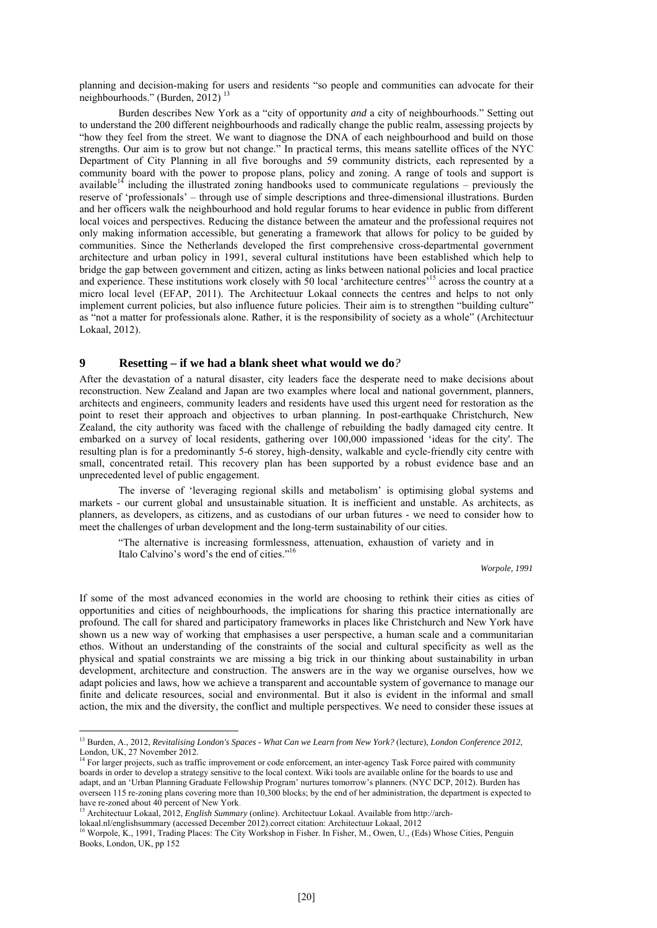planning and decision-making for users and residents "so people and communities can advocate for their neighbourhoods." (Burden, 2012)<sup>13</sup>

Burden describes New York as a "city of opportunity *and* a city of neighbourhoods." Setting out to understand the 200 different neighbourhoods and radically change the public realm, assessing projects by "how they feel from the street. We want to diagnose the DNA of each neighbourhood and build on those strengths. Our aim is to grow but not change." In practical terms, this means satellite offices of the NYC Department of City Planning in all five boroughs and 59 community districts, each represented by a community board with the power to propose plans, policy and zoning. A range of tools and support is available<sup>14</sup> including the illustrated zoning handbooks used to communicate regulations – previously the reserve of 'professionals' – through use of simple descriptions and three-dimensional illustrations. Burden and her officers walk the neighbourhood and hold regular forums to hear evidence in public from different local voices and perspectives. Reducing the distance between the amateur and the professional requires not only making information accessible, but generating a framework that allows for policy to be guided by communities. Since the Netherlands developed the first comprehensive cross-departmental government architecture and urban policy in 1991, several cultural institutions have been established which help to bridge the gap between government and citizen, acting as links between national policies and local practice and experience. These institutions work closely with 50 local 'architecture centres'15 across the country at a micro local level (EFAP, 2011). The Architectuur Lokaal connects the centres and helps to not only implement current policies, but also influence future policies. Their aim is to strengthen "building culture" as "not a matter for professionals alone. Rather, it is the responsibility of society as a whole" (Architectuur Lokaal, 2012).

#### **9 Resetting – if we had a blank sheet what would we do***?*

After the devastation of a natural disaster, city leaders face the desperate need to make decisions about reconstruction. New Zealand and Japan are two examples where local and national government, planners, architects and engineers, community leaders and residents have used this urgent need for restoration as the point to reset their approach and objectives to urban planning. In post-earthquake Christchurch, New Zealand, the city authority was faced with the challenge of rebuilding the badly damaged city centre. It embarked on a survey of local residents, gathering over 100,000 impassioned 'ideas for the city'. The resulting plan is for a predominantly 5-6 storey, high-density, walkable and cycle-friendly city centre with small, concentrated retail. This recovery plan has been supported by a robust evidence base and an unprecedented level of public engagement.

The inverse of 'leveraging regional skills and metabolism' is optimising global systems and markets - our current global and unsustainable situation. It is inefficient and unstable. As architects, as planners, as developers, as citizens, and as custodians of our urban futures - we need to consider how to meet the challenges of urban development and the long-term sustainability of our cities.

"The alternative is increasing formlessness, attenuation, exhaustion of variety and in Italo Calvino's word's the end of cities."16

*Worpole, 1991* 

If some of the most advanced economies in the world are choosing to rethink their cities as cities of opportunities and cities of neighbourhoods, the implications for sharing this practice internationally are profound. The call for shared and participatory frameworks in places like Christchurch and New York have shown us a new way of working that emphasises a user perspective, a human scale and a communitarian ethos. Without an understanding of the constraints of the social and cultural specificity as well as the physical and spatial constraints we are missing a big trick in our thinking about sustainability in urban development, architecture and construction. The answers are in the way we organise ourselves, how we adapt policies and laws, how we achieve a transparent and accountable system of governance to manage our finite and delicate resources, social and environmental. But it also is evident in the informal and small action, the mix and the diversity, the conflict and multiple perspectives. We need to consider these issues at

1

<sup>&</sup>lt;sup>13</sup> Burden, A., 2012, *Revitalising London's Spaces - What Can we Learn from New York? (lecture), London Conference 2012*, London, UK, 27 November 2012.

<sup>&</sup>lt;sup>14</sup> For larger projects, such as traffic improvement or code enforcement, an inter-agency Task Force paired with community boards in order to develop a strategy sensitive to the local context. Wiki tools are available online for the boards to use and adapt, and an 'Urban Planning Graduate Fellowship Program' nurtures tomorrow's planners. (NYC DCP, 2012). Burden has overseen 115 re-zoning plans covering more than 10,300 blocks; by the end of her administration, the department is expected to have re-zoned about 40 percent of New York.

<sup>15</sup> Architectuur Lokaal, 2012, *English Summary* (online). Architectuur Lokaal. Available from http://arch-

lokaal.nl/englishsummary (accessed December 2012).correct citation: Architectuur Lokaal, 2012 16 Worpole, K., 1991, Trading Places: The City Workshop in Fisher. In Fisher, M., Owen, U., (Eds) Whose Cities, Penguin Books, London, UK, pp 152